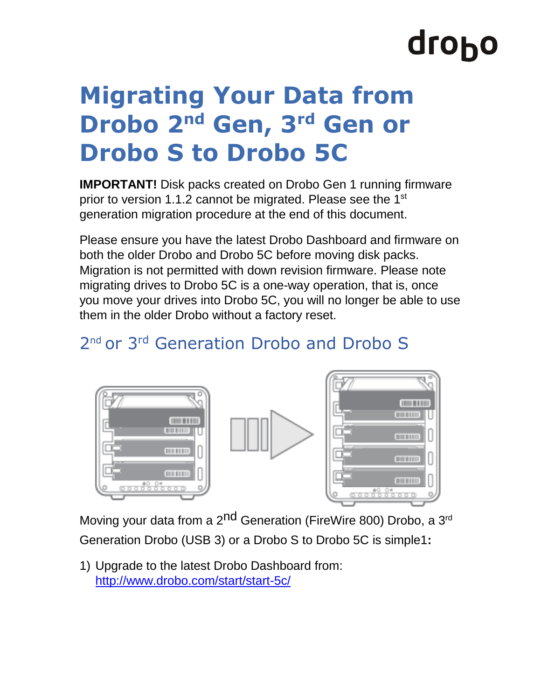# droho

### **Migrating Your Data from Drobo 2 nd Gen, 3rd Gen or Drobo S to Drobo 5C**

**IMPORTANT!** Disk packs created on Drobo Gen 1 running firmware prior to version 1.1.2 cannot be migrated. Please see the 1<sup>st</sup> generation migration procedure at the end of this document.

Please ensure you have the latest Drobo Dashboard and firmware on both the older Drobo and Drobo 5C before moving disk packs. Migration is not permitted with down revision firmware. Please note migrating drives to Drobo 5C is a one-way operation, that is, once you move your drives into Drobo 5C, you will no longer be able to use them in the older Drobo without a factory reset.

#### 2<sup>nd</sup> or 3<sup>rd</sup> Generation Drobo and Drobo S



Moving your data from a 2<sup>nd</sup> Generation (FireWire 800) Drobo, a 3<sup>rd</sup> Generation Drobo (USB 3) or a Drobo S to Drobo 5C is simple1**:** 

1) Upgrade to the latest Drobo Dashboard from: <http://www.drobo.com/start/start-5c/>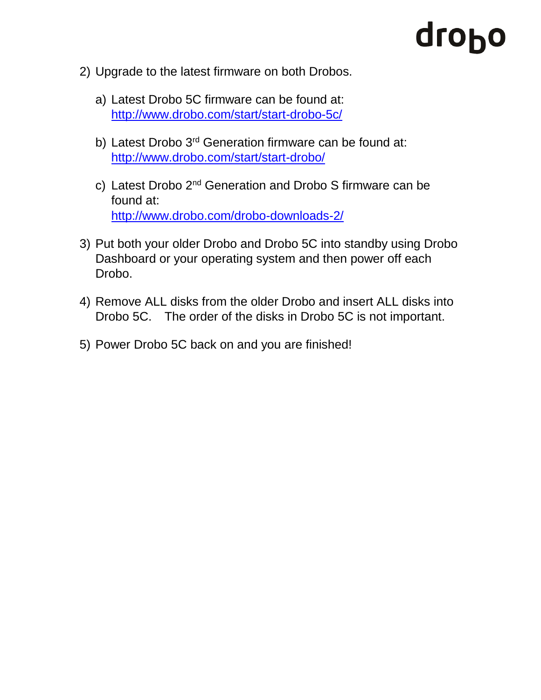## dropo

- 2) Upgrade to the latest firmware on both Drobos.
	- a) Latest Drobo 5C firmware can be found at: [http://www.drobo.com/start/start-drobo-5c/](http://www.drobo.com/start/start-drobo-5n/)
	- b) Latest Drobo 3<sup>rd</sup> Generation firmware can be found at: <http://www.drobo.com/start/start-drobo/>
	- c) Latest Drobo 2<sup>nd</sup> Generation and Drobo S firmware can be found at: <http://www.drobo.com/drobo-downloads-2/>
- 3) Put both your older Drobo and Drobo 5C into standby using Drobo Dashboard or your operating system and then power off each Drobo.
- 4) Remove ALL disks from the older Drobo and insert ALL disks into Drobo 5C. The order of the disks in Drobo 5C is not important.
- 5) Power Drobo 5C back on and you are finished!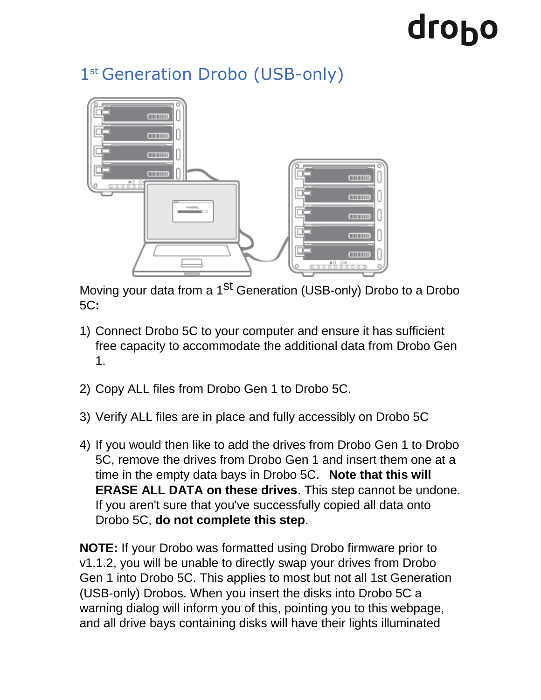# drobo

#### 1<sup>st</sup> Generation Drobo (USB-only)



Moving your data from a 1<sup>st</sup> Generation (USB-only) Drobo to a Drobo 5C**:** 

- 1) Connect Drobo 5C to your computer and ensure it has sufficient free capacity to accommodate the additional data from Drobo Gen 1.
- 2) Copy ALL files from Drobo Gen 1 to Drobo 5C.
- 3) Verify ALL files are in place and fully accessibly on Drobo 5C
- 4) If you would then like to add the drives from Drobo Gen 1 to Drobo 5C, remove the drives from Drobo Gen 1 and insert them one at a time in the empty data bays in Drobo 5C. **Note that this will ERASE ALL DATA on these drives**. This step cannot be undone. If you aren't sure that you've successfully copied all data onto Drobo 5C, **do not complete this step**.

**NOTE:** If your Drobo was formatted using Drobo firmware prior to v1.1.2, you will be unable to directly swap your drives from Drobo Gen 1 into Drobo 5C. This applies to most but not all 1st Generation (USB-only) Drobos. When you insert the disks into Drobo 5C a warning dialog will inform you of this, pointing you to this webpage, and all drive bays containing disks will have their lights illuminated